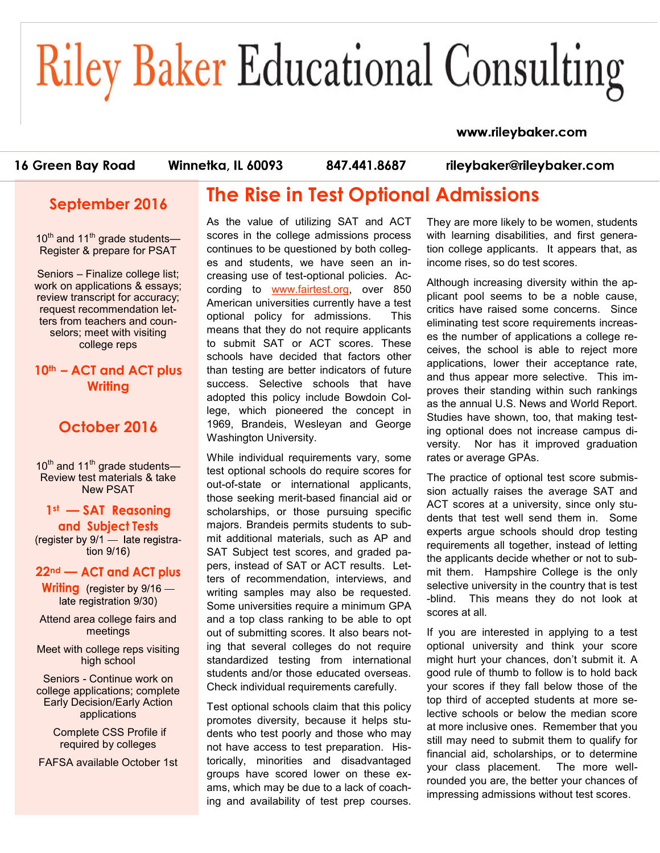# **Riley Baker Educational Consulting**

#### www.rileybaker.com

16 Green Bay Road

Winnetka, IL 60093

847.441.8687

rileybaker@rileybaker.com

## **September 2016**

10<sup>th</sup> and 11<sup>th</sup> grade students-Register & prepare for PSAT

Seniors – Finalize college list; work on applications & essays; review transcript for accuracy; request recommendation letters from teachers and counselors; meet with visiting college reps

**10th – ACT and ACT plus Writing** 

## **October 2016**

10<sup>th</sup> and 11<sup>th</sup> grade students— Review test materials & take New PSAT

 $1$ <sup>st</sup>  $-$  **SAT** and Subject Tests

(register by  $9/1$  — late registration 9/16)

#### 22<sup>nd</sup> — ACT and ACT plus

**Writing** (register by  $9/16$  late registration 9/30)

Attend area college fairs and meetings

Meet with college reps visiting high school

Seniors - Continue work on college applications; complete Early Decision/Early Action applications

> Complete CSS Profile if required by colleges

FAFSA available October 1st

## **The Rise in Test Optional Admissions**

As the value of utilizing SAT and ACT scores in the college admissions process continues to be questioned by both colleges and students, we have seen an increasing use of test-optional policies. According to [www.fairtest.org,](http://www.fairtest.org) over 850 American universities currently have a test optional policy for admissions. This means that they do not require applicants to submit SAT or ACT scores. These schools have decided that factors other than testing are better indicators of future success. Selective schools that have adopted this policy include Bowdoin College, which pioneered the concept in 1969, Brandeis, Wesleyan and George Washington University.

While individual requirements vary, some test optional schools do require scores for out-of-state or international applicants, those seeking merit-based financial aid or scholarships, or those pursuing specific majors. Brandeis permits students to submit additional materials, such as AP and SAT Subject test scores, and graded papers, instead of SAT or ACT results. Letters of recommendation, interviews, and writing samples may also be requested. Some universities require a minimum GPA and a top class ranking to be able to opt out of submitting scores. It also bears noting that several colleges do not require standardized testing from international students and/or those educated overseas. Check individual requirements carefully.

Test optional schools claim that this policy promotes diversity, because it helps students who test poorly and those who may not have access to test preparation. Historically, minorities and disadvantaged groups have scored lower on these exams, which may be due to a lack of coaching and availability of test prep courses. They are more likely to be women, students with learning disabilities, and first generation college applicants. It appears that, as income rises, so do test scores.

Although increasing diversity within the applicant pool seems to be a noble cause, critics have raised some concerns. Since eliminating test score requirements increases the number of applications a college receives, the school is able to reject more applications, lower their acceptance rate, and thus appear more selective. This improves their standing within such rankings as the annual U.S. News and World Report. Studies have shown, too, that making testing optional does not increase campus diversity. Nor has it improved graduation rates or average GPAs.

The practice of optional test score submission actually raises the average SAT and ACT scores at a university, since only students that test well send them in. Some experts argue schools should drop testing requirements all together, instead of letting the applicants decide whether or not to submit them. Hampshire College is the only selective university in the country that is test -blind. This means they do not look at scores at all.

If you are interested in applying to a test optional university and think your score might hurt your chances, don't submit it. A good rule of thumb to follow is to hold back your scores if they fall below those of the top third of accepted students at more selective schools or below the median score at more inclusive ones. Remember that you still may need to submit them to qualify for financial aid, scholarships, or to determine your class placement. The more wellrounded you are, the better your chances of impressing admissions without test scores.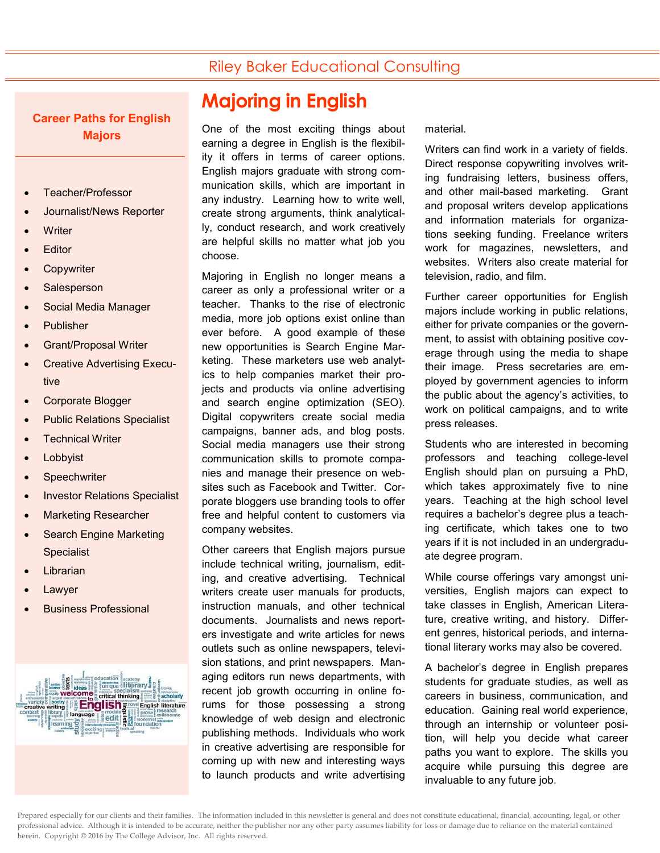## Riley Baker Educational Consulting

#### **Career Paths for English Majors**

- Teacher/Professor
- Journalist/News Reporter
- **Writer**
- **Editor**
- **Copywriter**
- **Salesperson**
- Social Media Manager
- Publisher
- Grant/Proposal Writer
- Creative Advertising Executive
- Corporate Blogger
- Public Relations Specialist
- Technical Writer
- Lobbyist
- **Speechwriter**
- Investor Relations Specialist
- Marketing Researcher
- Search Engine Marketing **Specialist**
- Librarian
- Lawyer
- Business Professional



## **Majoring in English**

One of the most exciting things about earning a degree in English is the flexibility it offers in terms of career options. English majors graduate with strong communication skills, which are important in any industry. Learning how to write well, create strong arguments, think analytically, conduct research, and work creatively are helpful skills no matter what job you choose.

Majoring in English no longer means a career as only a professional writer or a teacher. Thanks to the rise of electronic media, more job options exist online than ever before. A good example of these new opportunities is Search Engine Marketing. These marketers use web analytics to help companies market their projects and products via online advertising and search engine optimization (SEO). Digital copywriters create social media campaigns, banner ads, and blog posts. Social media managers use their strong communication skills to promote companies and manage their presence on websites such as Facebook and Twitter. Corporate bloggers use branding tools to offer free and helpful content to customers via company websites.

Other careers that English majors pursue include technical writing, journalism, editing, and creative advertising. Technical writers create user manuals for products, instruction manuals, and other technical documents. Journalists and news reporters investigate and write articles for news outlets such as online newspapers, television stations, and print newspapers. Managing editors run news departments, with recent job growth occurring in online forums for those possessing a strong knowledge of web design and electronic publishing methods. Individuals who work in creative advertising are responsible for coming up with new and interesting ways to launch products and write advertising

material.

Writers can find work in a variety of fields. Direct response copywriting involves writing fundraising letters, business offers, and other mail-based marketing. Grant and proposal writers develop applications and information materials for organizations seeking funding. Freelance writers work for magazines, newsletters, and websites. Writers also create material for television, radio, and film.

Further career opportunities for English majors include working in public relations, either for private companies or the government, to assist with obtaining positive coverage through using the media to shape their image. Press secretaries are employed by government agencies to inform the public about the agency's activities, to work on political campaigns, and to write press releases.

Students who are interested in becoming professors and teaching college-level English should plan on pursuing a PhD, which takes approximately five to nine years. Teaching at the high school level requires a bachelor's degree plus a teaching certificate, which takes one to two years if it is not included in an undergraduate degree program.

While course offerings vary amongst universities, English majors can expect to take classes in English, American Literature, creative writing, and history. Different genres, historical periods, and international literary works may also be covered.

A bachelor's degree in English prepares students for graduate studies, as well as careers in business, communication, and education. Gaining real world experience, through an internship or volunteer position, will help you decide what career paths you want to explore. The skills you acquire while pursuing this degree are invaluable to any future job.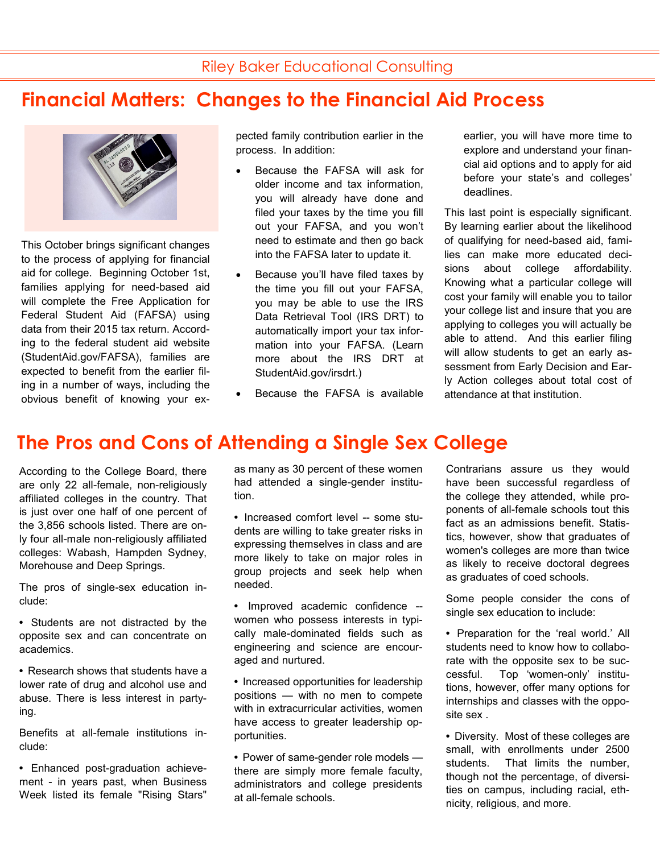# **Financial Matters: Changes to the Financial Aid Process**



This October brings significant changes to the process of applying for financial aid for college. Beginning October 1st, families applying for need-based aid will complete the Free Application for Federal Student Aid (FAFSA) using data from their 2015 tax return. According to the federal student aid website (StudentAid.gov/FAFSA), families are expected to benefit from the earlier filing in a number of ways, including the obvious benefit of knowing your ex-

pected family contribution earlier in the process. In addition:

- Because the FAFSA will ask for older income and tax information, you will already have done and filed your taxes by the time you fill out your FAFSA, and you won't need to estimate and then go back into the FAFSA later to update it.
- Because you'll have filed taxes by the time you fill out your FAFSA, you may be able to use the IRS Data Retrieval Tool (IRS DRT) to automatically import your tax information into your FAFSA. (Learn more about the IRS DRT at StudentAid.gov/irsdrt.)
- Because the FAFSA is available

earlier, you will have more time to explore and understand your financial aid options and to apply for aid before your state's and colleges' deadlines.

This last point is especially significant. By learning earlier about the likelihood of qualifying for need-based aid, families can make more educated decisions about college affordability. Knowing what a particular college will cost your family will enable you to tailor your college list and insure that you are applying to colleges you will actually be able to attend. And this earlier filing will allow students to get an early assessment from Early Decision and Early Action colleges about total cost of attendance at that institution.

# **The Pros and Cons of Attending a Single Sex College**

According to the College Board, there are only 22 all-female, non-religiously affiliated colleges in the country. That is just over one half of one percent of the 3,856 schools listed. There are only four all-male non-religiously affiliated colleges: Wabash, Hampden Sydney, Morehouse and Deep Springs.

The pros of single-sex education include:

- **•** Students are not distracted by the opposite sex and can concentrate on academics.
- **•** Research shows that students have a lower rate of drug and alcohol use and abuse. There is less interest in partying.

Benefits at all-female institutions include:

**•** Enhanced post-graduation achievement - in years past, when Business Week listed its female "Rising Stars"

as many as 30 percent of these women had attended a single-gender institution.

**•** Increased comfort level -- some students are willing to take greater risks in expressing themselves in class and are more likely to take on major roles in group projects and seek help when needed.

**•** Improved academic confidence - women who possess interests in typically male-dominated fields such as engineering and science are encouraged and nurtured.

**•** Increased opportunities for leadership positions — with no men to compete with in extracurricular activities, women have access to greater leadership opportunities.

**•** Power of same-gender role models there are simply more female faculty, administrators and college presidents at all-female schools.

Contrarians assure us they would have been successful regardless of the college they attended, while proponents of all-female schools tout this fact as an admissions benefit. Statistics, however, show that graduates of women's colleges are more than twice as likely to receive doctoral degrees as graduates of coed schools.

Some people consider the cons of single sex education to include:

- **•** Preparation for the 'real world.' All students need to know how to collaborate with the opposite sex to be successful. Top 'women-only' institutions, however, offer many options for internships and classes with the opposite sex .
- **•** Diversity. Most of these colleges are small, with enrollments under 2500 students. That limits the number, though not the percentage, of diversities on campus, including racial, ethnicity, religious, and more.